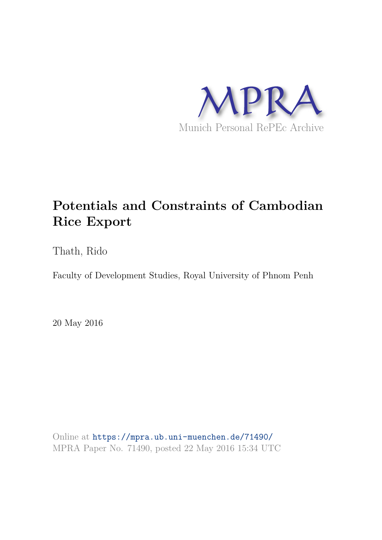

# **Potentials and Constraints of Cambodian Rice Export**

Thath, Rido

Faculty of Development Studies, Royal University of Phnom Penh

20 May 2016

Online at https://mpra.ub.uni-muenchen.de/71490/ MPRA Paper No. 71490, posted 22 May 2016 15:34 UTC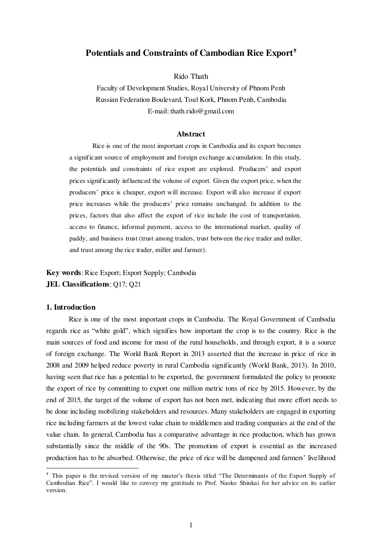# **Potentials and Constraints of Cambodian Rice Export**

Rido Thath

Faculty of Development Studies, Royal University of Phnom Penh Russian Federation Boulevard, Toul Kork, Phnom Penh, Cambodia E-mail: thath.rido@gmail.com

#### **Abstract**

Rice is one of the most important crops in Cambodia and its export becomes a significant source of employment and foreign exchange accumulation. In this study, the potentials and constraints of rice export are explored. Producers' and export prices significantly influenced the volume of export. Given the export price, when the producers' price is cheaper, export will increase. Export will also increase if export price increases while the producers' price remains unchanged. In addition to the prices, factors that also affect the export of rice include the cost of transportation, access to finance, informal payment, access to the international market, quality of paddy, and business trust (trust among traders, trust between the rice trader and miller, and trust among the rice trader, miller and farmer).

# **Key words**: Rice Export; Export Supply; Cambodia **JEL Classifications**: Q17; Q21

#### **1. Introduction**

 $\overline{a}$ 

Rice is one of the most important crops in Cambodia. The Royal Government of Cambodia regards rice as "white gold", which signifies how important the crop is to the country. Rice is the main sources of food and income for most of the rural households, and through export, it is a source of foreign exchange. The World Bank Report in 2013 asserted that the increase in price of rice in 2008 and 2009 helped reduce poverty in rural Cambodia significantly (World Bank, 2013). In 2010, having seen that rice has a potential to be exported, the government formulated the policy to promote the export of rice by committing to export one million metric tons of rice by 2015. However, by the end of 2015, the target of the volume of export has not been met, indicating that more effort needs to be done including mobilizing stakeholders and resources. Many stakeholders are engaged in exporting rice including farmers at the lowest value chain to middlemen and trading companies at the end of the value chain. In general, Cambodia has a comparative advantage in rice production, which has grown substantially since the middle of the 90s. The promotion of export is essential as the increased production has to be absorbed. Otherwise, the price of rice will be dampened and farmers' livelihood

<sup>&</sup>lt;sup>+</sup> This paper is the revised version of my master's thesis titled "The Determinants of the Export Supply of Cambodian Rice". I would like to convey my gratitude to Prof. Naoko Shinkai for her advice on its earlier version.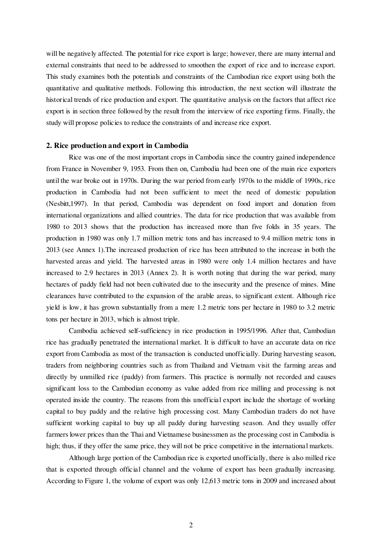will be negatively affected. The potential for rice export is large; however, there are many internal and external constraints that need to be addressed to smoothen the export of rice and to increase export. This study examines both the potentials and constraints of the Cambodian rice export using both the quantitative and qualitative methods. Following this introduction, the next section will illustrate the historical trends of rice production and export. The quantitative analysis on the factors that affect rice export is in section three followed by the result from the interview of rice exporting firms. Finally, the study will propose policies to reduce the constraints of and increase rice export.

#### **2. Rice production and export in Cambodia**

Rice was one of the most important crops in Cambodia since the country gained independence from France in November 9, 1953. From then on, Cambodia had been one of the main rice exporters until the war broke out in 1970s. During the war period from early 1970s to the middle of 1990s, rice production in Cambodia had not been sufficient to meet the need of domestic population (Nesbitt,1997). In that period, Cambodia was dependent on food import and donation from international organizations and allied countries. The data for rice production that was available from 1980 to 2013 shows that the production has increased more than five folds in 35 years. The production in 1980 was only 1.7 million metric tons and has increased to 9.4 million metric tons in 2013 (see Annex 1).The increased production of rice has been attributed to the increase in both the harvested areas and yield. The harvested areas in 1980 were only 1.4 million hectares and have increased to 2.9 hectares in 2013 (Annex 2). It is worth noting that during the war period, many hectares of paddy field had not been cultivated due to the insecurity and the presence of mines. Mine clearances have contributed to the expansion of the arable areas, to significant extent. Although rice yield is low, it has grown substantially from a mere 1.2 metric tons per hectare in 1980 to 3.2 metric tons per hectare in 2013, which is almost triple.

Cambodia achieved self-sufficiency in rice production in 1995/1996. After that, Cambodian rice has gradually penetrated the international market. It is difficult to have an accurate data on rice export from Cambodia as most of the transaction is conducted unofficially. During harvesting season, traders from neighboring countries such as from Thailand and Vietnam visit the farming areas and directly by unmilled rice (paddy) from farmers. This practice is normally not recorded and causes significant loss to the Cambodian economy as value added from rice milling and processing is not operated inside the country. The reasons from this unofficial export include the shortage of working capital to buy paddy and the relative high processing cost. Many Cambodian traders do not have sufficient working capital to buy up all paddy during harvesting season. And they usually offer farmers lower prices than the Thai and Vietnamese businessmen as the processing cost in Cambodia is high; thus, if they offer the same price, they will not be price competitive in the international markets.

Although large portion of the Cambodian rice is exported unofficially, there is also milled rice that is exported through official channel and the volume of export has been gradually increasing. According to Figure 1, the volume of export was only 12,613 metric tons in 2009 and increased about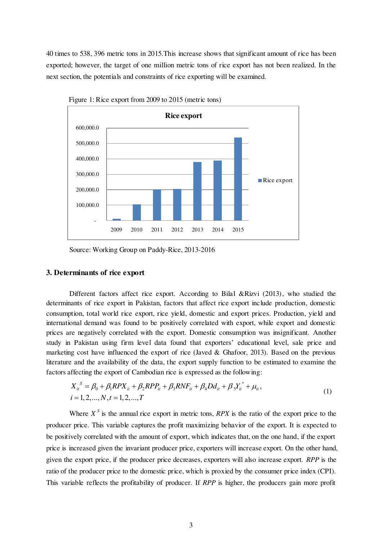40 times to 538, 396 metric tons in 2015.This increase shows that significant amount of rice has been exported; however, the target of one million metric tons of rice export has not been realized. In the next section, the potentials and constraints of rice exporting will be examined.



Figure 1: Rice export from 2009 to 2015 (metric tons)

Source: Working Group on Paddy-Rice, 2013-2016

#### **3. Determinants of rice export**

Different factors affect rice export. According to Bilal &Rizvi (2013), who studied the determinants of rice export in Pakistan, factors that affect rice export include production, domestic consumption, total world rice export, rice yield, domestic and export prices. Production, yield and international demand was found to be positively correlated with export, while export and domestic prices are negatively correlated with the export. Domestic consumption was insignificant. Another study in Pakistan using firm level data found that exporters' educational level, sale price and marketing cost have influenced the export of rice (Javed & Ghafoor, 2013). Based on the previous literature and the availability of the data, the export supply function to be estimated to examine the factors affecting the export of Cambodian rice is expressed as the following:

$$
X_{it}^{S} = \beta_0 + \beta_1 RPX_{it} + \beta_2 RPP_{it} + \beta_3 RNF_{it} + \beta_4 Dd_{it} + \beta_5 Y_{it}^* + \mu_{it},
$$
  
\n
$$
i = 1, 2, ..., N, t = 1, 2, ..., T
$$
\n(1)

Where  $X^S$  is the annual rice export in metric tons, *RPX* is the ratio of the export price to the producer price. This variable captures the profit maximizing behavior of the export. It is expected to be positively correlated with the amount of export, which indicates that, on the one hand, if the export price is increased given the invariant producer price, exporters will increase export. On the other hand, given the export price, if the producer price decreases, exporters will also increase export. *RPP* is the ratio of the producer price to the domestic price, which is proxied by the consumer price index (CPI). This variable reflects the profitability of producer. If *RPP* is higher, the producers gain more profit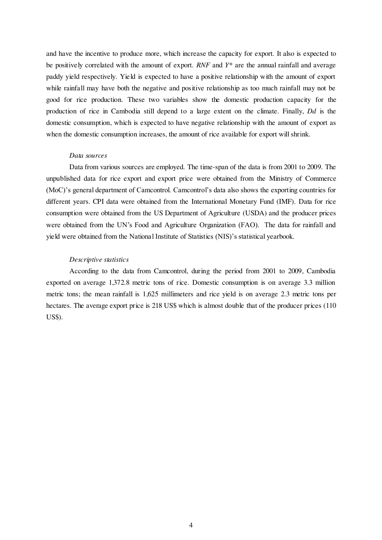and have the incentive to produce more, which increase the capacity for export. It also is expected to be positively correlated with the amount of export. *RNF* and *Y\** are the annual rainfall and average paddy yield respectively. Yield is expected to have a positive relationship with the amount of export while rainfall may have both the negative and positive relationship as too much rainfall may not be good for rice production. These two variables show the domestic production capacity for the production of rice in Cambodia still depend to a large extent on the climate. Finally, *Dd* is the domestic consumption, which is expected to have negative relationship with the amount of export as when the domestic consumption increases, the amount of rice available for export will shrink.

#### *Data sources*

Data from various sources are employed. The time-span of the data is from 2001 to 2009. The unpublished data for rice export and export price were obtained from the Ministry of Commerce (MoC)'s general department of Camcontrol. Camcontrol's data also shows the exporting countries for different years. CPI data were obtained from the International Monetary Fund (IMF). Data for rice consumption were obtained from the US Department of Agriculture (USDA) and the producer prices were obtained from the UN's Food and Agriculture Organization (FAO). The data for rainfall and yield were obtained from the National Institute of Statistics (NIS)'s statistical yearbook.

#### *Descriptive statistics*

According to the data from Camcontrol, during the period from 2001 to 2009, Cambodia exported on average 1,372.8 metric tons of rice. Domestic consumption is on average 3.3 million metric tons; the mean rainfall is 1,625 millimeters and rice yield is on average 2.3 metric tons per hectares. The average export price is 218 US\$ which is almost double that of the producer prices (110) US\$).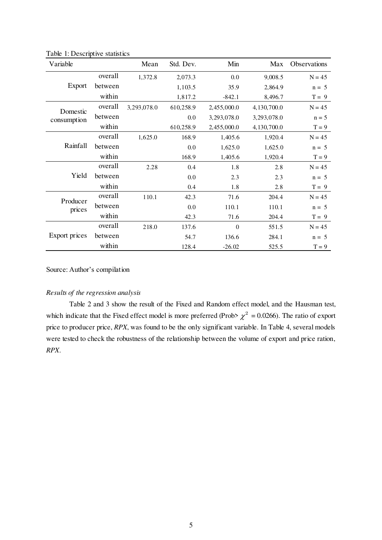| Variable                |         | Mean        | Std. Dev. | Min              | Max         | <b>Observations</b> |
|-------------------------|---------|-------------|-----------|------------------|-------------|---------------------|
| Export                  | overall | 1,372.8     | 2,073.3   | 0.0              | 9,008.5     | $N = 45$            |
|                         | between |             | 1,103.5   | 35.9             | 2,864.9     | $n = 5$             |
|                         | within  |             | 1,817.2   | $-842.1$         | 8,496.7     | $T = 9$             |
| Domestic<br>consumption | overall | 3,293,078.0 | 610,258.9 | 2,455,000.0      | 4,130,700.0 | $N = 45$            |
|                         | between |             | 0.0       | 3,293,078.0      | 3,293,078.0 | $n = 5$             |
|                         | within  |             | 610,258.9 | 2,455,000.0      | 4,130,700.0 | $T = 9$             |
|                         | overall | 1,625.0     | 168.9     | 1,405.6          | 1,920.4     | $N = 45$            |
| Rainfall                | between |             | 0.0       | 1,625.0          | 1,625.0     | $n = 5$             |
|                         | within  |             | 168.9     | 1,405.6          | 1,920.4     | $T = 9$             |
|                         | overall | 2.28        | 0.4       | 1.8              | 2.8         | $N = 45$            |
| Yield                   | between |             | 0.0       | 2.3              | 2.3         | $n = 5$             |
|                         | within  |             | 0.4       | 1.8              | 2.8         | $T = 9$             |
| Producer<br>prices      | overall | 110.1       | 42.3      | 71.6             | 204.4       | $N = 45$            |
|                         | between |             | 0.0       | 110.1            | 110.1       | $n = 5$             |
|                         | within  |             | 42.3      | 71.6             | 204.4       | $T = 9$             |
| Export prices           | overall | 218.0       | 137.6     | $\boldsymbol{0}$ | 551.5       | $N = 45$            |
|                         | between |             | 54.7      | 136.6            | 284.1       | $n = 5$             |
|                         | within  |             | 128.4     | $-26.02$         | 525.5       | $T = 9$             |

Table 1: Descriptive statistics

Source: Author's compilation

## *Results of the regression analysis*

Table 2 and 3 show the result of the Fixed and Random effect model, and the Hausman test, which indicate that the Fixed effect model is more preferred (Prob>  $\chi^2$  = 0.0266). The ratio of export price to producer price, *RPX*, was found to be the only significant variable. In Table 4, several models were tested to check the robustness of the relationship between the volume of export and price ration, *RPX*.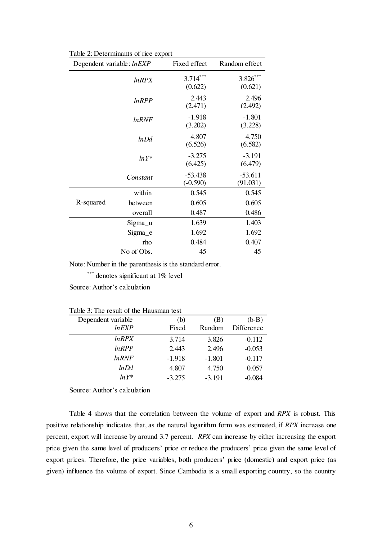| Dependent variable: lnEXP |              | Fixed effect            | Random effect         |
|---------------------------|--------------|-------------------------|-----------------------|
|                           | <b>InRPX</b> | $3.714***$<br>(0.622)   | $3.826***$<br>(0.621) |
|                           | lnRPP        | 2.443<br>(2.471)        | 2.496<br>(2.492)      |
|                           | <i>lnRNF</i> | $-1.918$<br>(3.202)     | $-1.801$<br>(3.228)   |
|                           | lnDd         | 4.807<br>(6.526)        | 4.750<br>(6.582)      |
|                           | $ln Y^*$     | $-3.275$<br>(6.425)     | $-3.191$<br>(6.479)   |
|                           | Constant     | $-53.438$<br>$(-0.590)$ | $-53.611$<br>(91.031) |
|                           | within       | 0.545                   | 0.545                 |
| R-squared                 | between      | 0.605                   | 0.605                 |
|                           | overall      | 0.487                   | 0.486                 |
|                           | Sigma_u      | 1.639                   | 1.403                 |
|                           | Sigma_e      | 1.692                   | 1.692                 |
|                           | rho          | 0.484                   | 0.407                 |
|                           | No of Obs.   | 45                      | 45                    |

Table 2: Determinants of rice export

Note: Number in the parenthesis is the standard error.

\*\*\* denotes significant at 1% level

Source: Author's calculation

|  |  | Table 3: The result of the Hausman test |  |
|--|--|-----------------------------------------|--|
|  |  |                                         |  |

| Dependent variable | (b)      | (B)      | $(b-B)$    |
|--------------------|----------|----------|------------|
| lnEXP              | Fixed    | Random   | Difference |
| $ln$ RPX           | 3.714    | 3.826    | $-0.112$   |
| lnRPP              | 2.443    | 2.496    | $-0.053$   |
| <i>lnRNF</i>       | $-1.918$ | $-1.801$ | $-0.117$   |
| lnDd               | 4.807    | 4.750    | 0.057      |
| $ln Y^*$           | $-3.275$ | $-3.191$ | $-0.084$   |

Source: Author's calculation

Table 4 shows that the correlation between the volume of export and *RPX* is robust. This positive relationship indicates that, as the natural logarithm form was estimated, if *RPX* increase one percent, export will increase by around 3.7 percent. *RPX* can increase by either increasing the export price given the same level of producers' price or reduce the producers' price given the same level of export prices. Therefore, the price variables, both producers' price (domestic) and export price (as given) influence the volume of export. Since Cambodia is a small exporting country, so the country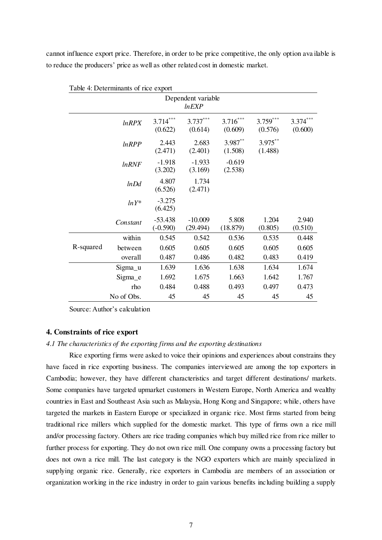cannot influence export price. Therefore, in order to be price competitive, the only option ava ilable is to reduce the producers' price as well as other related cost in domestic market.

| Table 4: Determinants of rice export |              |                         |                       |                       |                       |                       |  |
|--------------------------------------|--------------|-------------------------|-----------------------|-----------------------|-----------------------|-----------------------|--|
| Dependent variable<br>lnEXP          |              |                         |                       |                       |                       |                       |  |
|                                      | <i>lnRPX</i> | $3.714***$<br>(0.622)   | $3.737***$<br>(0.614) | $3.716***$<br>(0.609) | $3.759***$<br>(0.576) | $3.374***$<br>(0.600) |  |
|                                      | $ln$ RPP     | 2.443<br>(2.471)        | 2.683<br>(2.401)      | $3.987**$<br>(1.508)  | $3.975***$<br>(1.488) |                       |  |
|                                      | <b>InRNF</b> | $-1.918$<br>(3.202)     | $-1.933$<br>(3.169)   | $-0.619$<br>(2.538)   |                       |                       |  |
|                                      | lnDd         | 4.807<br>(6.526)        | 1.734<br>(2.471)      |                       |                       |                       |  |
|                                      | $lnY^*$      | $-3.275$<br>(6.425)     |                       |                       |                       |                       |  |
|                                      | Constant     | $-53.438$<br>$(-0.590)$ | $-10.009$<br>(29.494) | 5.808<br>(18.879)     | 1.204<br>(0.805)      | 2.940<br>(0.510)      |  |
|                                      | within       | 0.545                   | 0.542                 | 0.536                 | 0.535                 | 0.448                 |  |
| R-squared                            | between      | 0.605                   | 0.605                 | 0.605                 | 0.605                 | 0.605                 |  |
|                                      | overall      | 0.487                   | 0.486                 | 0.482                 | 0.483                 | 0.419                 |  |
|                                      | Sigma_u      | 1.639                   | 1.636                 | 1.638                 | 1.634                 | 1.674                 |  |
|                                      | Sigma_e      | 1.692                   | 1.675                 | 1.663                 | 1.642                 | 1.767                 |  |
|                                      | rho          | 0.484                   | 0.488                 | 0.493                 | 0.497                 | 0.473                 |  |
|                                      | No of Obs.   | 45                      | 45                    | 45                    | 45                    | 45                    |  |

Source: Author's calculation

#### **4. Constraints of rice export**

#### *4.1 The characteristics of the exporting firms and the exporting destinations*

Rice exporting firms were asked to voice their opinions and experiences about constrains they have faced in rice exporting business. The companies interviewed are among the top exporters in Cambodia; however, they have different characteristics and target different destinations/ markets. Some companies have targeted upmarket customers in Western Europe, North America and wealthy countries in East and Southeast Asia such as Malaysia, Hong Kong and Singapore; while, others have targeted the markets in Eastern Europe or specialized in organic rice. Most firms started from being traditional rice millers which supplied for the domestic market. This type of firms own a rice mill and/or processing factory. Others are rice trading companies which buy milled rice from rice miller to further process for exporting. They do not own rice mill. One company owns a processing factory but does not own a rice mill. The last category is the NGO exporters which are mainly specialized in supplying organic rice. Generally, rice exporters in Cambodia are members of an association or organization working in the rice industry in order to gain various benefits including building a supply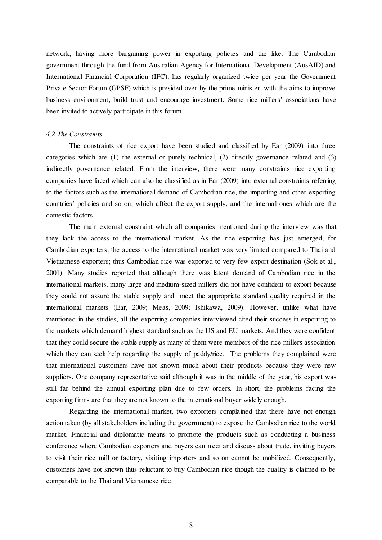network, having more bargaining power in exporting policies and the like. The Cambodian government through the fund from Australian Agency for International Development (AusAID) and International Financial Corporation (IFC), has regularly organized twice per year the Government Private Sector Forum (GPSF) which is presided over by the prime minister, with the aims to improve business environment, build trust and encourage investment. Some rice millers' associations have been invited to actively participate in this forum.

#### *4.2 The Constraints*

The constraints of rice export have been studied and classified by Ear (2009) into three categories which are (1) the external or purely technical, (2) directly governance related and (3) indirectly governance related. From the interview, there were many constraints rice exporting companies have faced which can also be classified as in Ear (2009) into external constraints referring to the factors such as the international demand of Cambodian rice, the importing and other exporting countries' policies and so on, which affect the export supply, and the internal ones which are the domestic factors.

The main external constraint which all companies mentioned during the interview was that they lack the access to the international market. As the rice exporting has just emerged, for Cambodian exporters, the access to the international market was very limited compared to Thai and Vietnamese exporters; thus Cambodian rice was exported to very few export destination (Sok et al., 2001). Many studies reported that although there was latent demand of Cambodian rice in the international markets, many large and medium-sized millers did not have confident to export because they could not assure the stable supply and meet the appropriate standard quality required in the international markets (Ear, 2009; Meas, 2009; Ishikawa, 2009). However, unlike what have mentioned in the studies, all the exporting companies interviewed cited their success in exporting to the markets which demand highest standard such as the US and EU markets. And they were confident that they could secure the stable supply as many of them were members of the rice millers association which they can seek help regarding the supply of paddy/rice. The problems they complained were that international customers have not known much about their products because they were new suppliers. One company representative said although it was in the middle of the year, his export was still far behind the annual exporting plan due to few orders. In short, the problems facing the exporting firms are that they are not known to the international buyer widely enough.

Regarding the international market, two exporters complained that there have not enough action taken (by all stakeholders including the government) to expose the Cambodian rice to the world market. Financial and diplomatic means to promote the products such as conducting a business conference where Cambodian exporters and buyers can meet and discuss about trade, inviting buyers to visit their rice mill or factory, visiting importers and so on cannot be mobilized. Consequently, customers have not known thus reluctant to buy Cambodian rice though the quality is claimed to be comparable to the Thai and Vietnamese rice.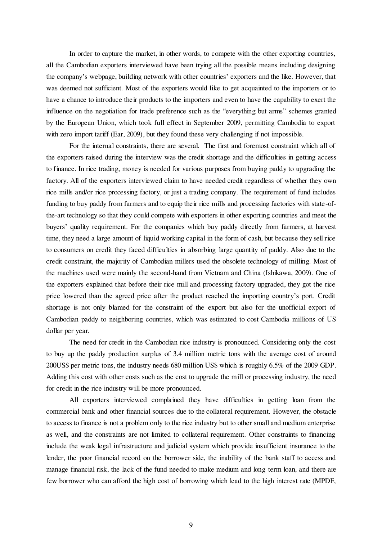In order to capture the market, in other words, to compete with the other exporting countries, all the Cambodian exporters interviewed have been trying all the possible means including designing the company's webpage, building network with other countries' exporters and the like. However, that was deemed not sufficient. Most of the exporters would like to get acquainted to the importers or to have a chance to introduce their products to the importers and even to have the capability to exert the influence on the negotiation for trade preference such as the "everything but arms" schemes granted by the European Union, which took full effect in September 2009, permitting Cambodia to export with zero import tariff (Ear, 2009), but they found these very challenging if not impossible.

For the internal constraints, there are several. The first and foremost constraint which all of the exporters raised during the interview was the credit shortage and the difficulties in getting access to finance. In rice trading, money is needed for various purposes from buying paddy to upgrading the factory. All of the exporters interviewed claim to have needed credit regardless of whether they own rice mills and/or rice processing factory, or just a trading company. The requirement of fund includes funding to buy paddy from farmers and to equip their rice mills and processing factories with state-ofthe-art technology so that they could compete with exporters in other exporting countries and meet the buyers' quality requirement. For the companies which buy paddy directly from farmers, at harvest time, they need a large amount of liquid working capital in the form of cash, but because they sell rice to consumers on credit they faced difficulties in absorbing large quantity of paddy. Also due to the credit constraint, the majority of Cambodian millers used the obsolete technology of milling. Most of the machines used were mainly the second-hand from Vietnam and China (Ishikawa, 2009). One of the exporters explained that before their rice mill and processing factory upgraded, they got the rice price lowered than the agreed price after the product reached the importing country's port. Credit shortage is not only blamed for the constraint of the export but also for the unofficial export of Cambodian paddy to neighboring countries, which was estimated to cost Cambodia millions of US dollar per year.

The need for credit in the Cambodian rice industry is pronounced. Considering only the cost to buy up the paddy production surplus of 3.4 million metric tons with the average cost of around 200US\$ per metric tons, the industry needs 680 million US\$ which is roughly 6.5% of the 2009 GDP. Adding this cost with other costs such as the cost to upgrade the mill or processing industry, the need for credit in the rice industry will be more pronounced.

All exporters interviewed complained they have difficulties in getting loan from the commercial bank and other financial sources due to the collateral requirement. However, the obstacle to access to finance is not a problem only to the rice industry but to other small and medium enterprise as well, and the constraints are not limited to collateral requirement. Other constraints to financing include the weak legal infrastructure and judicial system which provide insufficient insurance to the lender, the poor financial record on the borrower side, the inability of the bank staff to access and manage financial risk, the lack of the fund needed to make medium and long term loan, and there are few borrower who can afford the high cost of borrowing which lead to the high interest rate (MPDF,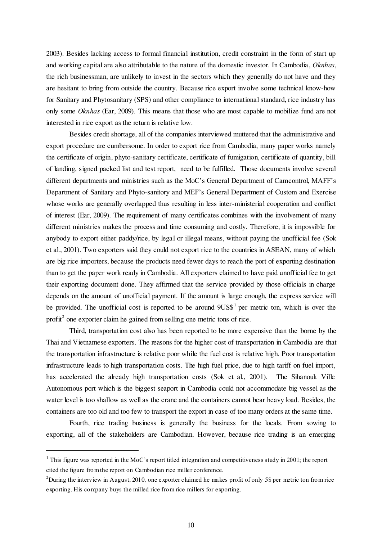2003). Besides lacking access to formal financial institution, credit constraint in the form of start up and working capital are also attributable to the nature of the domestic investor. In Cambodia, *Oknhas*, the rich businessman, are unlikely to invest in the sectors which they generally do not have and they are hesitant to bring from outside the country. Because rice export involve some technical know-how for Sanitary and Phytosanitary (SPS) and other compliance to international standard, rice industry has only some *Oknhas* (Ear, 2009). This means that those who are most capable to mobilize fund are not interested in rice export as the return is relative low.

Besides credit shortage, all of the companies interviewed muttered that the administrative and export procedure are cumbersome. In order to export rice from Cambodia, many paper works namely the certificate of origin, phyto-sanitary certificate, certificate of fumigation, certificate of quantity, bill of landing, signed packed list and test report, need to be fulfilled. Those documents involve several different departments and ministries such as the MoC's General Department of Camcontrol, MAFF's Department of Sanitary and Phyto-sanitory and MEF's General Department of Custom and Exercise whose works are generally overlapped thus resulting in less inter-ministerial cooperation and conflict of interest (Ear, 2009). The requirement of many certificates combines with the involvement of many different ministries makes the process and time consuming and costly. Therefore, it is impossible for anybody to export either paddy/rice, by legal or illegal means, without paying the unofficial fee (Sok et al., 2001). Two exporters said they could not export rice to the countries in ASEAN, many of which are big rice importers, because the products need fewer days to reach the port of exporting destination than to get the paper work ready in Cambodia. All exporters claimed to have paid unofficial fee to get their exporting document done. They affirmed that the service provided by those officials in charge depends on the amount of unofficial payment. If the amount is large enough, the express service will be provided. The unofficial cost is reported to be around  $9US\$ <sup>1</sup> per metric ton, which is over the profit<sup>2</sup> one exporter claim he gained from selling one metric tons of rice.

Third, transportation cost also has been reported to be more expensive than the borne by the Thai and Vietnamese exporters. The reasons for the higher cost of transportation in Cambodia are that the transportation infrastructure is relative poor while the fuel cost is relative high. Poor transportation infrastructure leads to high transportation costs. The high fuel price, due to high tariff on fuel import, has accelerated the already high transportation costs (Sok et al., 2001). The Sihanouk Ville Autonomous port which is the biggest seaport in Cambodia could not accommodate big vessel as the water level is too shallow as well as the crane and the containers cannot bear heavy load. Besides, the containers are too old and too few to transport the export in case of too many orders at the same time.

Fourth, rice trading business is generally the business for the locals. From sowing to exporting, all of the stakeholders are Cambodian. However, because rice trading is an emerging

 $\overline{a}$ 

<sup>&</sup>lt;sup>1</sup> This figure was reported in the MoC's report titled integration and competitiveness study in 2001; the report cited the figure from the report on Cambodian rice miller conference.

<sup>&</sup>lt;sup>2</sup>During the interview in August, 2010, one exporter claimed he makes profit of only 5\$ per metric ton from rice exporting. His company buys the milled rice from rice millers for exporting.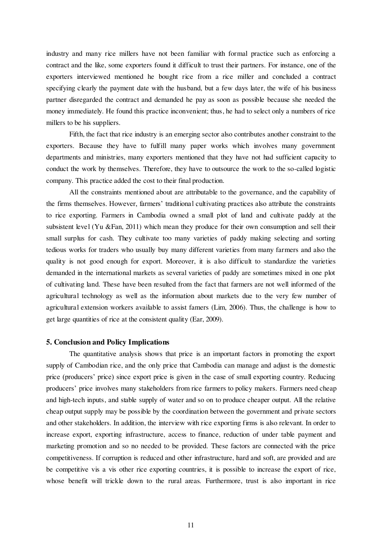industry and many rice millers have not been familiar with formal practice such as enforcing a contract and the like, some exporters found it difficult to trust their partners. For instance, one of the exporters interviewed mentioned he bought rice from a rice miller and concluded a contract specifying clearly the payment date with the husband, but a few days later, the wife of his business partner disregarded the contract and demanded he pay as soon as possible because she needed the money immediately. He found this practice inconvenient; thus, he had to select only a numbers of rice millers to be his suppliers.

Fifth, the fact that rice industry is an emerging sector also contributes another constraint to the exporters. Because they have to fulfill many paper works which involves many government departments and ministries, many exporters mentioned that they have not had sufficient capacity to conduct the work by themselves. Therefore, they have to outsource the work to the so-called logistic company. This practice added the cost to their final production.

All the constraints mentioned about are attributable to the governance, and the capability of the firms themselves. However, farmers' traditional cultivating practices also attribute the constraints to rice exporting. Farmers in Cambodia owned a small plot of land and cultivate paddy at the subsistent level (Yu &Fan, 2011) which mean they produce for their own consumption and sell their small surplus for cash. They cultivate too many varieties of paddy making selecting and sorting tedious works for traders who usually buy many different varieties from many farmers and also the quality is not good enough for export. Moreover, it is also difficult to standardize the varieties demanded in the international markets as several varieties of paddy are sometimes mixed in one plot of cultivating land. These have been resulted from the fact that farmers are not well informed of the agricultural technology as well as the information about markets due to the very few number of agricultural extension workers available to assist famers (Lim, 2006). Thus, the challenge is how to get large quantities of rice at the consistent quality (Ear, 2009).

#### **5. Conclusion and Policy Implications**

The quantitative analysis shows that price is an important factors in promoting the export supply of Cambodian rice, and the only price that Cambodia can manage and adjust is the domestic price (producers' price) since export price is given in the case of small exporting country. Reducing producers' price involves many stakeholders from rice farmers to policy makers. Farmers need cheap and high-tech inputs, and stable supply of water and so on to produce cheaper output. All the relative cheap output supply may be possible by the coordination between the government and private sectors and other stakeholders. In addition, the interview with rice exporting firms is also relevant. In order to increase export, exporting infrastructure, access to finance, reduction of under table payment and marketing promotion and so no needed to be provided. These factors are connected with the price competitiveness. If corruption is reduced and other infrastructure, hard and soft, are provided and are be competitive vis a vis other rice exporting countries, it is possible to increase the export of rice, whose benefit will trickle down to the rural areas. Furthermore, trust is also important in rice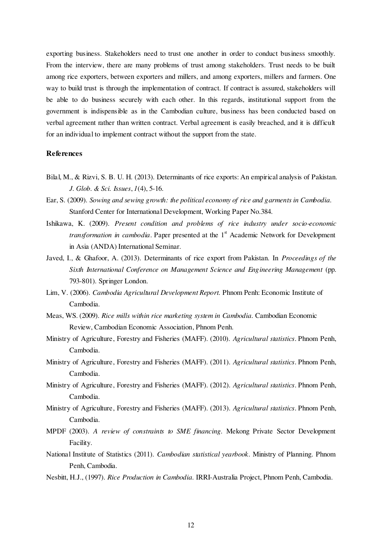exporting business. Stakeholders need to trust one another in order to conduct business smoothly. From the interview, there are many problems of trust among stakeholders. Trust needs to be built among rice exporters, between exporters and millers, and among exporters, millers and farmers. One way to build trust is through the implementation of contract. If contract is assured, stakeholders will be able to do business securely with each other. In this regards, institutional support from the government is indispensible as in the Cambodian culture, business has been conducted based on verbal agreement rather than written contract. Verbal agreement is easily breached, and it is difficult for an individual to implement contract without the support from the state.

### **References**

- Bilal, M., & Rizvi, S. B. U. H. (2013). Determinants of rice exports: An empirical analysis of Pakistan. *J. Glob. & Sci. Issues*, *1*(4), 5-16.
- Ear, S. (2009). *Sowing and sewing growth: the political economy of rice and garments in Cambodia*. Stanford Center for International Development, Working Paper No.384.
- Ishikawa, K. (2009). *Present condition and problems of rice industry under socio-economic transformation in cambodia*. Paper presented at the  $1<sup>st</sup>$  Academic Network for Development in Asia (ANDA) International Seminar.
- Javed, I., & Ghafoor, A. (2013). Determinants of rice export from Pakistan. In *Proceedings of the Sixth International Conference on Management Science and Engineering Management* (pp. 793-801). Springer London.
- Lim, V. (2006). *Cambodia Agricultural Development Report.* Phnom Penh: Economic Institute of Cambodia.
- Meas, WS. (2009). *Rice mills within rice marketing system in Cambodia.* Cambodian Economic Review, Cambodian Economic Association, Phnom Penh.
- Ministry of Agriculture, Forestry and Fisheries (MAFF). (2010). *Agricultural statistics*. Phnom Penh, Cambodia.
- Ministry of Agriculture, Forestry and Fisheries (MAFF). (2011). *Agricultural statistics*. Phnom Penh, Cambodia.
- Ministry of Agriculture, Forestry and Fisheries (MAFF). (2012). *Agricultural statistics*. Phnom Penh, Cambodia.
- Ministry of Agriculture, Forestry and Fisheries (MAFF). (2013). *Agricultural statistics*. Phnom Penh, Cambodia.
- MPDF (2003). *A review of constraints to SME financing.* Mekong Private Sector Development Facility.
- National Institute of Statistics (2011). *Cambodian statistical yearbook*. Ministry of Planning. Phnom Penh, Cambodia.
- Nesbitt, H.J., (1997). *Rice Production in Cambodia*. IRRI-Australia Project, Phnom Penh, Cambodia.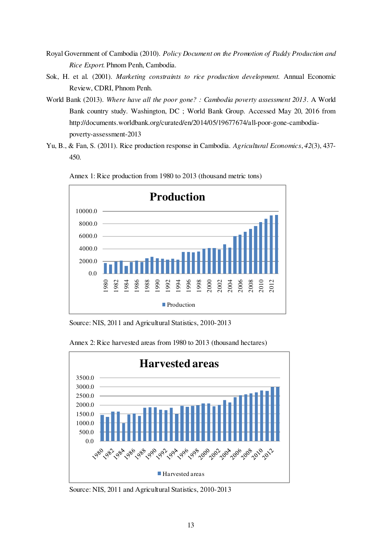- Royal Government of Cambodia (2010). *Policy Document on the Promotion of Paddy Production and Rice Export*. Phnom Penh, Cambodia.
- Sok, H. et al. (2001). *Marketing constraints to rice production development.* Annual Economic Review, CDRI, Phnom Penh.
- World Bank (2013). *Where have all the poor gone? : Cambodia poverty assessment 2013*. A World Bank country study. Washington, DC ; World Bank Group. Accessed May 20, 2016 from http://documents.worldbank.org/curated/en/2014/05/19677674/all-poor-gone-cambodiapoverty-assessment-2013
- Yu, B., & Fan, S. (2011). Rice production response in Cambodia. *Agricultural Economics*, *42*(3), 437- 450.



Annex 1: Rice production from 1980 to 2013 (thousand metric tons)

Source: NIS, 2011 and Agricultural Statistics, 2010-2013



Annex 2: Rice harvested areas from 1980 to 2013 (thousand hectares)

Source: NIS, 2011 and Agricultural Statistics, 2010-2013